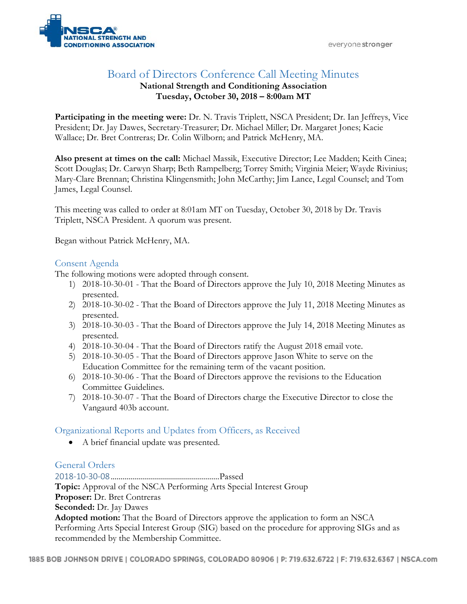

# Board of Directors Conference Call Meeting Minutes

#### **National Strength and Conditioning Association Tuesday, October 30, 2018 – 8:00am MT**

**Participating in the meeting were:** Dr. N. Travis Triplett, NSCA President; Dr. Ian Jeffreys, Vice President; Dr. Jay Dawes, Secretary-Treasurer; Dr. Michael Miller; Dr. Margaret Jones; Kacie Wallace; Dr. Bret Contreras; Dr. Colin Wilborn; and Patrick McHenry, MA.

**Also present at times on the call:** Michael Massik, Executive Director; Lee Madden; Keith Cinea; Scott Douglas; Dr. Carwyn Sharp; Beth Rampelberg; Torrey Smith; Virginia Meier; Wayde Rivinius; Mary-Clare Brennan; Christina Klingensmith; John McCarthy; Jim Lance, Legal Counsel; and Tom James, Legal Counsel.

This meeting was called to order at 8:01am MT on Tuesday, October 30, 2018 by Dr. Travis Triplett, NSCA President. A quorum was present.

Began without Patrick McHenry, MA.

## Consent Agenda

The following motions were adopted through consent.

- 1) 2018-10-30-01 That the Board of Directors approve the July 10, 2018 Meeting Minutes as presented.
- 2) 2018-10-30-02 That the Board of Directors approve the July 11, 2018 Meeting Minutes as presented.
- 3) 2018-10-30-03 That the Board of Directors approve the July 14, 2018 Meeting Minutes as presented.
- 4) 2018-10-30-04 That the Board of Directors ratify the August 2018 email vote.
- 5) 2018-10-30-05 That the Board of Directors approve Jason White to serve on the Education Committee for the remaining term of the vacant position.
- 6) 2018-10-30-06 That the Board of Directors approve the revisions to the Education Committee Guidelines.
- 7) 2018-10-30-07 That the Board of Directors charge the Executive Director to close the Vangaurd 403b account.

## Organizational Reports and Updates from Officers, as Received

• A brief financial update was presented.

## General Orders

2018-10-30-08......................................................Passed **Topic:** Approval of the NSCA Performing Arts Special Interest Group **Proposer:** Dr. Bret Contreras **Seconded:** Dr. Jay Dawes **Adopted motion:** That the Board of Directors approve the application to form an NSCA Performing Arts Special Interest Group (SIG) based on the procedure for approving SIGs and as recommended by the Membership Committee.

1885 BOB JOHNSON DRIVE | COLORADO SPRINGS, COLORADO 80906 | P: 719.632.6722 | F: 719.632.6367 | NSCA.com